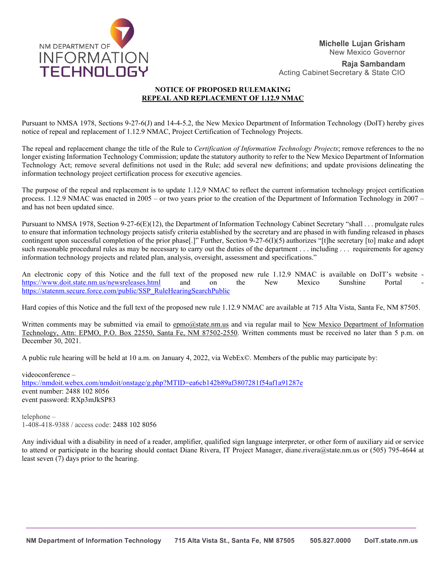

**Raja Sambandam** Acting Cabinet Secretary & State CIO

# **NOTICE OF PROPOSED RULEMAKING REPEAL AND REPLACEMENT OF 1.12.9 NMAC**

Pursuant to NMSA 1978, Sections 9-27-6(J) and 14-4-5.2, the New Mexico Department of Information Technology (DoIT) hereby gives notice of repeal and replacement of 1.12.9 NMAC, Project Certification of Technology Projects.

The repeal and replacement change the title of the Rule to *Certification of Information Technology Projects*; remove references to the no longer existing Information Technology Commission; update the statutory authority to refer to the New Mexico Department of Information Technology Act; remove several definitions not used in the Rule; add several new definitions; and update provisions delineating the information technology project certification process for executive agencies.

The purpose of the repeal and replacement is to update 1.12.9 NMAC to reflect the current information technology project certification process. 1.12.9 NMAC was enacted in 2005 – or two years prior to the creation of the Department of Information Technology in 2007 – and has not been updated since.

Pursuant to NMSA 1978, Section 9-27-6(E)(12), the Department of Information Technology Cabinet Secretary "shall . . . promulgate rules to ensure that information technology projects satisfy criteria established by the secretary and are phased in with funding released in phases contingent upon successful completion of the prior phase[.]" Further, Section 9-27-6(I)(5) authorizes "[t]he secretary [to] make and adopt such reasonable procedural rules as may be necessary to carry out the duties of the department . . . including . . . requirements for agency information technology projects and related plan, analysis, oversight, assessment and specifications."

An electronic copy of this Notice and the full text of the proposed new rule 1.12.9 NMAC is available on DoIT's website <https://www.doit.state.nm.us/newsreleases.html> and on the New Mexico Sunshine Portal [https://statenm.secure.force.com/public/SSP\\_RuleHearingSearchPublic](https://statenm.secure.force.com/public/SSP_RuleHearingSearchPublic)

Hard copies of this Notice and the full text of the proposed new rule 1.12.9 NMAC are available at 715 Alta Vista, Santa Fe, NM 87505.

Written comments may be submitted via email to epmo@state.nm.us and via regular mail to New Mexico Department of Information Technology, Attn: EPMO, P.O. Box 22550, Santa Fe, NM 87502-2550. Written comments must be received no later than 5 p.m. on December 30, 2021.

A public rule hearing will be held at 10 a.m. on January 4, 2022, via WebEx©. Members of the public may participate by:

videoconference – <https://nmdoit.webex.com/nmdoit/onstage/g.php?MTID=ea6cb142b89af3807281f54af1a91287e> event number: 2488 102 8056 event password: RXp3mJkSP83

telephone – 1-408-418-9388 / access code: 2488 102 8056

Any individual with a disability in need of a reader, amplifier, qualified sign language interpreter, or other form of auxiliary aid or service to attend or participate in the hearing should contact Diane Rivera, IT Project Manager, diane.rivera@state.nm.us or (505) 795-4644 at least seven (7) days prior to the hearing.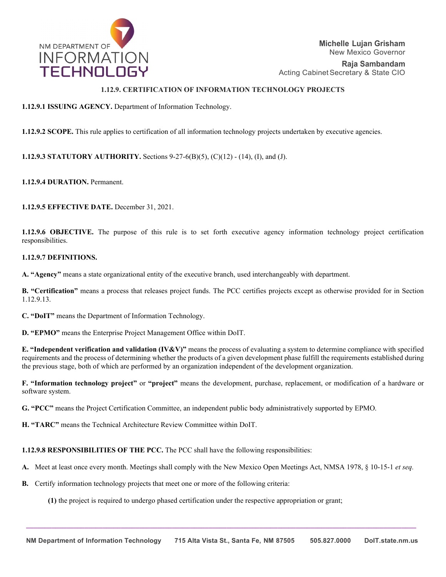

**Raja Sambandam** Acting Cabinet Secretary & State CIO

# **1.12.9. CERTIFICATION OF INFORMATION TECHNOLOGY PROJECTS**

### **1.12.9.1 ISSUING AGENCY.** Department of Information Technology.

**1.12.9.2 SCOPE.** This rule applies to certification of all information technology projects undertaken by executive agencies.

**1.12.9.3 STATUTORY AUTHORITY.** Sections 9-27-6(B)(5), (C)(12) - (14), (I), and (J).

**1.12.9.4 DURATION.** Permanent.

**1.12.9.5 EFFECTIVE DATE.** December 31, 2021.

**1.12.9.6 OBJECTIVE.** The purpose of this rule is to set forth executive agency information technology project certification responsibilities.

### **1.12.9.7 DEFINITIONS.**

**A. "Agency"** means a state organizational entity of the executive branch, used interchangeably with department.

**B. "Certification"** means a process that releases project funds. The PCC certifies projects except as otherwise provided for in Section 1.12.9.13.

**C. "DoIT"** means the Department of Information Technology.

**D. "EPMO"** means the Enterprise Project Management Office within DoIT.

**E. "Independent verification and validation (IV&V)"** means the process of evaluating a system to determine compliance with specified requirements and the process of determining whether the products of a given development phase fulfill the requirements established during the previous stage, both of which are performed by an organization independent of the development organization.

**F. "Information technology project"** or **"project"** means the development, purchase, replacement, or modification of a hardware or software system.

**G. "PCC"** means the Project Certification Committee, an independent public body administratively supported by EPMO.

**H. "TARC"** means the Technical Architecture Review Committee within DoIT.

**1.12.9.8 RESPONSIBILITIES OF THE PCC.** The PCC shall have the following responsibilities:

- **A.** Meet at least once every month. Meetings shall comply with the New Mexico Open Meetings Act, NMSA 1978, § 10-15-1 *et seq.*
- **B.** Certify information technology projects that meet one or more of the following criteria:

**(1)** the project is required to undergo phased certification under the respective appropriation or grant;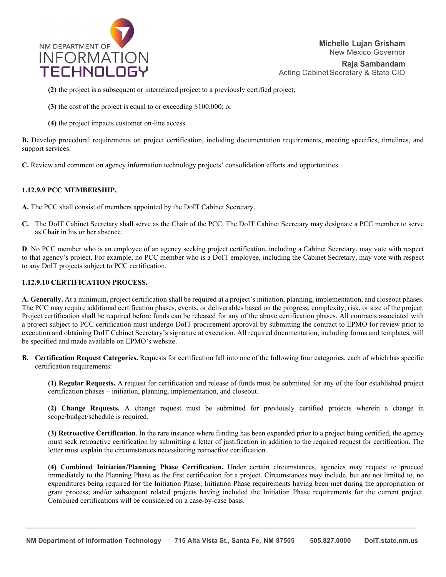

**Raja Sambandam** Acting Cabinet Secretary & State CIO

**(2)** the project is a subsequent or interrelated project to a previously certified project;

**(3)** the cost of the project is equal to or exceeding \$100,000; or

**(4)** the project impacts customer on-line access.

**B.** Develop procedural requirements on project certification, including documentation requirements, meeting specifics, timelines, and support services.

**C.** Review and comment on agency information technology projects' consolidation efforts and opportunities.

### **1.12.9.9 PCC MEMBERSHIP.**

**A.** The PCC shall consist of members appointed by the DoIT Cabinet Secretary.

**C.** The DoIT Cabinet Secretary shall serve as the Chair of the PCC. The DoIT Cabinet Secretary may designate a PCC member to serve as Chair in his or her absence.

**D**. No PCC member who is an employee of an agency seeking project certification, including a Cabinet Secretary. may vote with respect to that agency's project. For example, no PCC member who is a DoIT employee, including the Cabinet Secretary, may vote with respect to any DoIT projects subject to PCC certification.

### **1.12.9.10 CERTIFICATION PROCESS.**

**A. Generally.** At a minimum, project certification shall be required at a project's initiation, planning, implementation, and closeout phases. The PCC may require additional certification phases, events, or deliverables based on the progress, complexity, risk, or size of the project. Project certification shall be required before funds can be released for any of the above certification phases. All contracts associated with a project subject to PCC certification must undergo DoIT procurement approval by submitting the contract to EPMO for review prior to execution and obtaining DoIT Cabinet Secretary's signature at execution. All required documentation, including forms and templates, will be specified and made available on EPMO's website.

**B. Certification Request Categories.** Requests for certification fall into one of the following four categories, each of which has specific certification requirements:

**(1) Regular Requests.** A request for certification and release of funds must be submitted for any of the four established project certification phases – initiation, planning, implementation, and closeout.

**(2) Change Requests.** A change request must be submitted for previously certified projects wherein a change in scope/budget/schedule is required.

**(3) Retroactive Certification**. In the rare instance where funding has been expended prior to a project being certified, the agency must seek retroactive certification by submitting a letter of justification in addition to the required request for certification. The letter must explain the circumstances necessitating retroactive certification.

**(4) Combined Initiation/Planning Phase Certification.** Under certain circumstances, agencies may request to proceed immediately to the Planning Phase as the first certification for a project. Circumstances may include, but are not limited to, no expenditures being required for the Initiation Phase; Initiation Phase requirements having been met during the appropriation or grant process; and/or subsequent related projects having included the Initiation Phase requirements for the current project. Combined certifications will be considered on a case-by-case basis.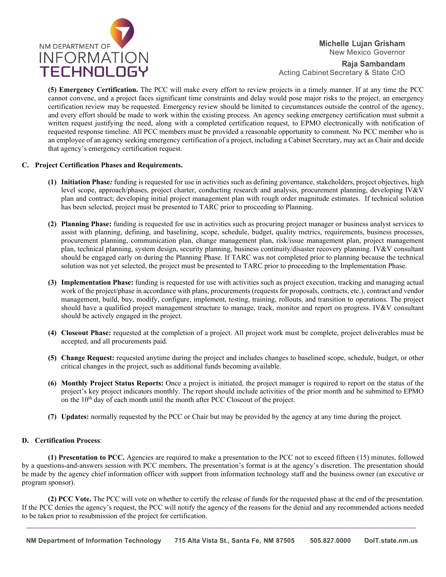

**Raja Sambandam** Acting Cabinet Secretary & State CIO

**(5) Emergency Certification.** The PCC will make every effort to review projects in a timely manner. If at any time the PCC cannot convene, and a project faces significant time constraints and delay would pose major risks to the project, an emergency certification review may be requested. Emergency review should be limited to circumstances outside the control of the agency, and every effort should be made to work within the existing process. An agency seeking emergency certification must submit a written request justifying the need, along with a completed certification request, to EPMO electronically with notification of requested response timeline. All PCC members must be provided a reasonable opportunity to comment. No PCC member who is an employee of an agency seeking emergency certification of a project, including a Cabinet Secretary, may act as Chair and decide that agency's emergency certification request.

### **C. Project Certification Phases and Requirements.**

- **(1) Initiation Phase***:* funding is requested for use in activities such as defining governance, stakeholders, project objectives, high level scope, approach/phases, project charter, conducting research and analysis, procurement planning, developing IV&V plan and contract; developing initial project management plan with rough order magnitude estimates. If technical solution has been selected, project must be presented to TARC prior to proceeding to Planning.
- **(2) Planning Phase:** funding is requested for use in activities such as procuring project manager or business analyst services to assist with planning, defining, and baselining, scope, schedule, budget, quality metrics, requirements, business processes, procurement planning, communication plan, change management plan, risk/issue management plan, project management plan, technical planning, system design, security planning, business continuity/disaster recovery planning. IV&V consultant should be engaged early on during the Planning Phase. If TARC was not completed prior to planning because the technical solution was not yet selected, the project must be presented to TARC prior to proceeding to the Implementation Phase.
- **(3) Implementation Phase:** funding is requested for use with activities such as project execution, tracking and managing actual work of the project/phase in accordance with plans, procurements (requests for proposals, contracts, etc.), contract and vendor management, build, buy, modify, configure, implement, testing, training, rollouts, and transition to operations. The project should have a qualified project management structure to manage, track, monitor and report on progress. IV&V consultant should be actively engaged in the project.
- **(4) Closeout Phase:** requested at the completion of a project. All project work must be complete, project deliverables must be accepted, and all procurements paid.
- **(5) Change Request:** requested anytime during the project and includes changes to baselined scope, schedule, budget, or other critical changes in the project, such as additional funds becoming available.
- **(6) Monthly Project Status Reports:** Once a project is initiated, the project manager is required to report on the status of the project's key project indicators monthly. The report should include activities of the prior month and be submitted to EPMO on the  $10<sup>th</sup>$  day of each month until the month after PCC Closeout of the project.
- **(7) Updates:** normally requested by the PCC or Chair but may be provided by the agency at any time during the project.

#### **D. Certification Process**:

**(1) Presentation to PCC.** Agencies are required to make a presentation to the PCC not to exceed fifteen (15) minutes, followed by a questions-and-answers session with PCC members. The presentation's format is at the agency's discretion. The presentation should be made by the agency chief information officer with support from information technology staff and the business owner (an executive or program sponsor).

**(2) PCC Vote.** The PCC will vote on whether to certify the release of funds for the requested phase at the end of the presentation. If the PCC denies the agency's request, the PCC will notify the agency of the reasons for the denial and any recommended actions needed to be taken prior to resubmission of the project for certification.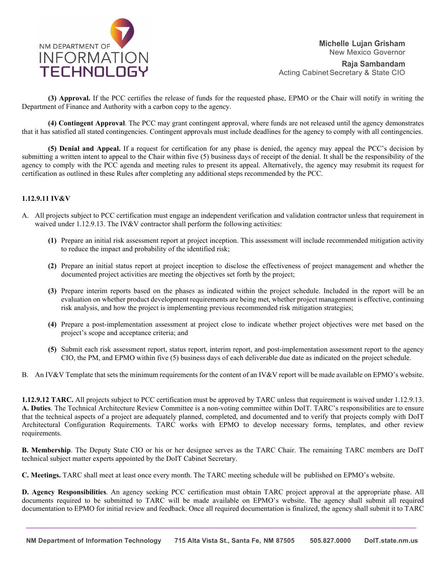

**Raja Sambandam** Acting Cabinet Secretary & State CIO

**(3) Approval.** If the PCC certifies the release of funds for the requested phase, EPMO or the Chair will notify in writing the Department of Finance and Authority with a carbon copy to the agency.

**(4) Contingent Approval**. The PCC may grant contingent approval, where funds are not released until the agency demonstrates that it has satisfied all stated contingencies. Contingent approvals must include deadlines for the agency to comply with all contingencies.

**(5) Denial and Appeal.** If a request for certification for any phase is denied, the agency may appeal the PCC's decision by submitting a written intent to appeal to the Chair within five (5) business days of receipt of the denial. It shall be the responsibility of the agency to comply with the PCC agenda and meeting rules to present its appeal. Alternatively, the agency may resubmit its request for certification as outlined in these Rules after completing any additional steps recommended by the PCC.

## **1.12.9.11 IV&V**

- A. All projects subject to PCC certification must engage an independent verification and validation contractor unless that requirement in waived under 1.12.9.13. The IV&V contractor shall perform the following activities:
	- **(1)** Prepare an initial risk assessment report at project inception. This assessment will include recommended mitigation activity to reduce the impact and probability of the identified risk;
	- **(2)** Prepare an initial status report at project inception to disclose the effectiveness of project management and whether the documented project activities are meeting the objectives set forth by the project;
	- **(3)** Prepare interim reports based on the phases as indicated within the project schedule. Included in the report will be an evaluation on whether product development requirements are being met, whether project management is effective, continuing risk analysis, and how the project is implementing previous recommended risk mitigation strategies;
	- **(4)** Prepare a post-implementation assessment at project close to indicate whether project objectives were met based on the project's scope and acceptance criteria; and
	- **(5)** Submit each risk assessment report, status report, interim report, and post-implementation assessment report to the agency CIO, the PM, and EPMO within five (5) business days of each deliverable due date as indicated on the project schedule.
- B. An IV&V Template that sets the minimum requirements for the content of an IV&V report will be made available on EPMO's website.

**1.12.9.12 TARC.** All projects subject to PCC certification must be approved by TARC unless that requirement is waived under 1.12.9.13. **A. Duties**. The Technical Architecture Review Committee is a non-voting committee within DoIT. TARC's responsibilities are to ensure that the technical aspects of a project are adequately planned, completed, and documented and to verify that projects comply with DoIT Architectural Configuration Requirements. TARC works with EPMO to develop necessary forms, templates, and other review requirements.

**B. Membership**. The Deputy State CIO or his or her designee serves as the TARC Chair. The remaining TARC members are DoIT technical subject matter experts appointed by the DoIT Cabinet Secretary.

**C. Meetings.** TARC shall meet at least once every month. The TARC meeting schedule will be published on EPMO's website.

**D. Agency Responsibilities**. An agency seeking PCC certification must obtain TARC project approval at the appropriate phase. All documents required to be submitted to TARC will be made available on EPMO's website. The agency shall submit all required documentation to EPMO for initial review and feedback. Once all required documentation is finalized, the agency shall submit it to TARC